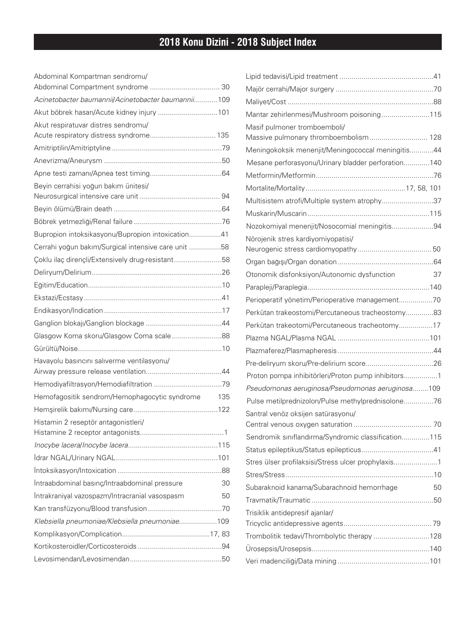## **2018 Konu Dizini - 2018 Subject Index**

| Abdominal Kompartman sendromu/                      |     |
|-----------------------------------------------------|-----|
|                                                     |     |
| Acinetobacter baumannii/Acinetobacter baumannii109  |     |
| Akut böbrek hasarı/Acute kidney injury 101          |     |
| Akut respiratuvar distres sendromu/                 |     |
| Acute respiratory distress syndrome 135             |     |
|                                                     |     |
|                                                     |     |
|                                                     |     |
| Beyin cerrahisi yoğun bakım ünitesi/                |     |
|                                                     |     |
|                                                     |     |
| Bupropion intoksikasyonu/Bupropion intoxication41   |     |
| Cerrahi yoğun bakım/Surgical intensive care unit 58 |     |
| Coklu ilaç dirençli/Extensively drug-resistant58    |     |
|                                                     |     |
|                                                     |     |
|                                                     |     |
|                                                     |     |
|                                                     |     |
| Glasgow Koma skoru/Glasgow Coma scale88             |     |
|                                                     |     |
| Havayolu basıncını salıverme ventilasyonu/          |     |
|                                                     |     |
|                                                     |     |
| Hemofagositik sendrom/Hemophagocytic syndrome       | 135 |
|                                                     |     |
| Histamin 2 reseptör antagonistleri/                 |     |
|                                                     |     |
|                                                     |     |
|                                                     |     |
| Intraabdominal basınç/Intraabdominal pressure       | 30  |
| Intrakraniyal vazospazm/Intracranial vasospasm      | 50  |
|                                                     |     |
| Klebsiella pneumoniae/Klebsiella pneumoniae109      |     |
|                                                     |     |
|                                                     |     |
|                                                     |     |

| Mantar zehirlenmesi/Mushroom poisoning115           |    |
|-----------------------------------------------------|----|
| Masif pulmoner tromboemboli/                        |    |
| Massive pulmonary thromboembolism 128               |    |
| Meningokoksik menenjit/Meningococcal meningitis44   |    |
| Mesane perforasyonu/Urinary bladder perforation140  |    |
|                                                     |    |
|                                                     |    |
| Multisistem atrofi/Multiple system atrophy37        |    |
|                                                     |    |
| Nozokomiyal menenjit/Nosocomial meningitis94        |    |
| Nörojenik stres kardiyomiyopatisi/                  |    |
|                                                     |    |
| Otonomik disfonksiyon/Autonomic dysfunction         | 37 |
|                                                     |    |
| Perioperatif yönetim/Perioperative management70     |    |
| Perkütan trakeostomi/Percutaneous tracheostomy83    |    |
| Perkütan trakeotomi/Percutaneous tracheotomy17      |    |
|                                                     |    |
|                                                     |    |
|                                                     |    |
| Proton pompa inhibitörleri/Proton pump inhibitors1  |    |
| Pseudomonas aeruginosa/Pseudomonas aeruginosa109    |    |
| Pulse metilprednizolon/Pulse methylprednisolone76   |    |
| Santral venöz oksijen satürasyonu/                  |    |
|                                                     |    |
| Sendromik sınıflandırma/Syndromic classification115 |    |
|                                                     |    |
| Stres ülser profilaksisi/Stress ulcer prophylaxis1  |    |
|                                                     |    |
| Subaraknoid kanama/Subarachnoid hemorrhage          | 50 |
|                                                     |    |
| Trisiklik antidepresif ajanlar/                     |    |
|                                                     |    |
| Trombolitik tedavi/Thrombolytic therapy 128         |    |
|                                                     |    |
|                                                     |    |